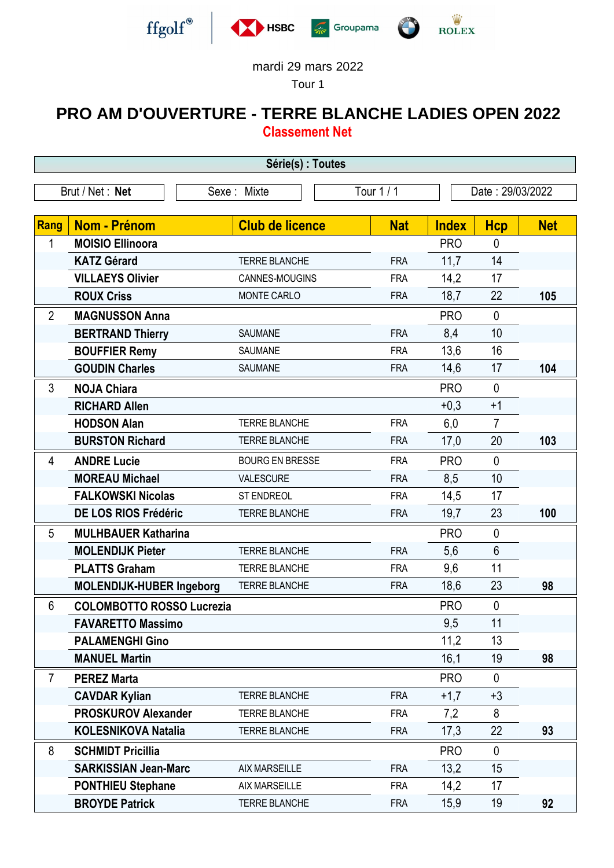





## mardi 29 mars 2022

Tour 1

## **PRO AM D'OUVERTURE - TERRE BLANCHE LADIES OPEN 2022 Classement Net**

| Série(s) : Toutes |                                  |                        |            |                  |                 |            |  |  |  |
|-------------------|----------------------------------|------------------------|------------|------------------|-----------------|------------|--|--|--|
| Brut / Net: Net   |                                  | Sexe: Mixte            | Tour 1 / 1 | Date: 29/03/2022 |                 |            |  |  |  |
|                   |                                  |                        |            |                  |                 |            |  |  |  |
| Rang              | Nom - Prénom                     | <b>Club de licence</b> | <b>Nat</b> | <b>Index</b>     | <b>Hcp</b>      | <b>Net</b> |  |  |  |
| 1                 | <b>MOISIO Ellinoora</b>          |                        |            | <b>PRO</b>       | $\overline{0}$  |            |  |  |  |
|                   | <b>KATZ Gérard</b>               | <b>TERRE BLANCHE</b>   | <b>FRA</b> | 11,7             | 14              |            |  |  |  |
|                   | <b>VILLAEYS Olivier</b>          | CANNES-MOUGINS         | <b>FRA</b> | 14,2             | 17              |            |  |  |  |
|                   | <b>ROUX Criss</b>                | MONTE CARLO            | <b>FRA</b> | 18,7             | 22              | 105        |  |  |  |
| $\overline{2}$    | <b>MAGNUSSON Anna</b>            |                        |            | <b>PRO</b>       | $\mathbf{0}$    |            |  |  |  |
|                   | <b>BERTRAND Thierry</b>          | SAUMANE                | <b>FRA</b> | 8,4              | 10              |            |  |  |  |
|                   | <b>BOUFFIER Remy</b>             | SAUMANE                | <b>FRA</b> | 13,6             | 16              |            |  |  |  |
|                   | <b>GOUDIN Charles</b>            | <b>SAUMANE</b>         | <b>FRA</b> | 14,6             | 17              | 104        |  |  |  |
| 3                 | <b>NOJA Chiara</b>               |                        |            | <b>PRO</b>       | $\mathbf{0}$    |            |  |  |  |
|                   | <b>RICHARD Allen</b>             |                        |            | $+0,3$           | $+1$            |            |  |  |  |
|                   | <b>HODSON Alan</b>               | <b>TERRE BLANCHE</b>   | <b>FRA</b> | 6,0              | $\overline{7}$  |            |  |  |  |
|                   | <b>BURSTON Richard</b>           | <b>TERRE BLANCHE</b>   | <b>FRA</b> | 17,0             | 20              | 103        |  |  |  |
| 4                 | <b>ANDRE Lucie</b>               | <b>BOURG EN BRESSE</b> | <b>FRA</b> | <b>PRO</b>       | $\mathbf{0}$    |            |  |  |  |
|                   | <b>MOREAU Michael</b>            | VALESCURE              | <b>FRA</b> | 8,5              | 10              |            |  |  |  |
|                   | <b>FALKOWSKI Nicolas</b>         | ST ENDREOL             | <b>FRA</b> | 14,5             | 17              |            |  |  |  |
|                   | DE LOS RIOS Frédéric             | <b>TERRE BLANCHE</b>   | <b>FRA</b> | 19,7             | 23              | 100        |  |  |  |
| 5                 | <b>MULHBAUER Katharina</b>       |                        |            | <b>PRO</b>       | $\mathbf{0}$    |            |  |  |  |
|                   | <b>MOLENDIJK Pieter</b>          | <b>TERRE BLANCHE</b>   | <b>FRA</b> | 5,6              | $6\phantom{1}6$ |            |  |  |  |
|                   | <b>PLATTS Graham</b>             | <b>TERRE BLANCHE</b>   | <b>FRA</b> | 9,6              | 11              |            |  |  |  |
|                   | <b>MOLENDIJK-HUBER Ingeborg</b>  | <b>TERRE BLANCHE</b>   | <b>FRA</b> | 18,6             | 23              | 98         |  |  |  |
| 6                 | <b>COLOMBOTTO ROSSO Lucrezia</b> |                        |            | <b>PRO</b>       | 0               |            |  |  |  |
|                   | <b>FAVARETTO Massimo</b>         |                        |            | 9,5              | 11              |            |  |  |  |
|                   | <b>PALAMENGHI Gino</b>           |                        |            | 11,2             | 13              |            |  |  |  |
|                   | <b>MANUEL Martin</b>             |                        |            | 16,1             | 19              | 98         |  |  |  |
| $\overline{7}$    | <b>PEREZ Marta</b>               |                        |            | <b>PRO</b>       | $\mathbf{0}$    |            |  |  |  |
|                   | <b>CAVDAR Kylian</b>             | <b>TERRE BLANCHE</b>   | <b>FRA</b> | $+1,7$           | $+3$            |            |  |  |  |
|                   | <b>PROSKUROV Alexander</b>       | <b>TERRE BLANCHE</b>   | <b>FRA</b> | 7,2              | 8               |            |  |  |  |
|                   | <b>KOLESNIKOVA Natalia</b>       | <b>TERRE BLANCHE</b>   | <b>FRA</b> | 17,3             | 22              | 93         |  |  |  |
| 8                 | <b>SCHMIDT Pricillia</b>         |                        |            | <b>PRO</b>       | $\mathbf{0}$    |            |  |  |  |
|                   | <b>SARKISSIAN Jean-Marc</b>      | <b>AIX MARSEILLE</b>   | <b>FRA</b> | 13,2             | 15              |            |  |  |  |
|                   | <b>PONTHIEU Stephane</b>         | <b>AIX MARSEILLE</b>   | <b>FRA</b> | 14,2             | 17              |            |  |  |  |
|                   | <b>BROYDE Patrick</b>            | <b>TERRE BLANCHE</b>   | <b>FRA</b> | 15,9             | 19              | 92         |  |  |  |